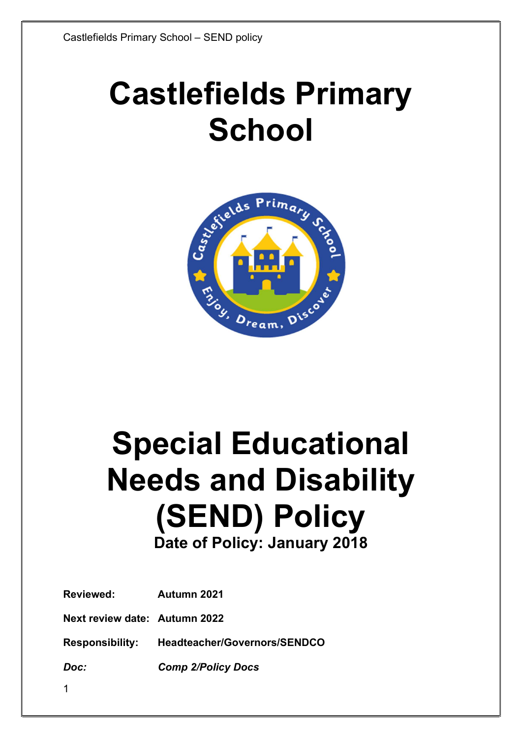# Castlefields Primary **School**



## Special Educational Needs and Disability (SEND) Policy Date of Policy: January 2018

| <b>Reviewed:</b>              | Autumn 2021                                  |
|-------------------------------|----------------------------------------------|
| Next review date: Autumn 2022 |                                              |
|                               | Responsibility: Headteacher/Governors/SENDCO |
| Doc:                          | <b>Comp 2/Policy Docs</b>                    |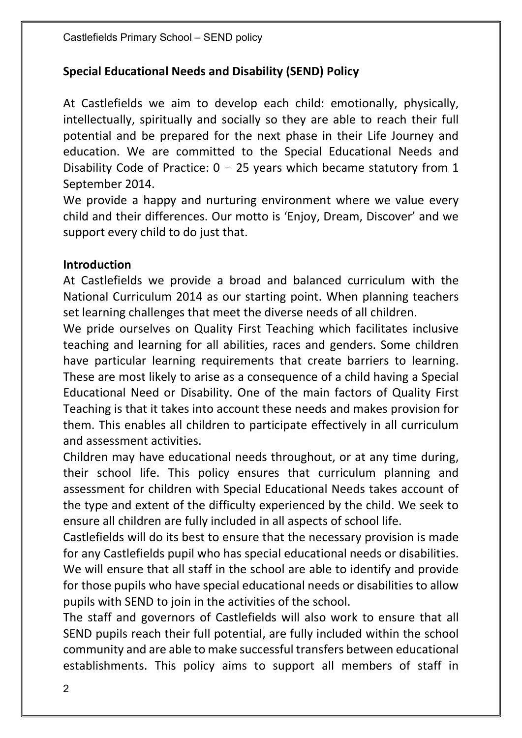## Special Educational Needs and Disability (SEND) Policy

At Castlefields we aim to develop each child: emotionally, physically, intellectually, spiritually and socially so they are able to reach their full potential and be prepared for the next phase in their Life Journey and education. We are committed to the Special Educational Needs and Disability Code of Practice:  $0 - 25$  years which became statutory from 1 September 2014.

We provide a happy and nurturing environment where we value every child and their differences. Our motto is 'Enjoy, Dream, Discover' and we support every child to do just that.

#### Introduction

At Castlefields we provide a broad and balanced curriculum with the National Curriculum 2014 as our starting point. When planning teachers set learning challenges that meet the diverse needs of all children.

We pride ourselves on Quality First Teaching which facilitates inclusive teaching and learning for all abilities, races and genders. Some children have particular learning requirements that create barriers to learning. These are most likely to arise as a consequence of a child having a Special Educational Need or Disability. One of the main factors of Quality First Teaching is that it takes into account these needs and makes provision for them. This enables all children to participate effectively in all curriculum and assessment activities.

Children may have educational needs throughout, or at any time during, their school life. This policy ensures that curriculum planning and assessment for children with Special Educational Needs takes account of the type and extent of the difficulty experienced by the child. We seek to ensure all children are fully included in all aspects of school life.

Castlefields will do its best to ensure that the necessary provision is made for any Castlefields pupil who has special educational needs or disabilities. We will ensure that all staff in the school are able to identify and provide for those pupils who have special educational needs or disabilities to allow pupils with SEND to join in the activities of the school.

The staff and governors of Castlefields will also work to ensure that all SEND pupils reach their full potential, are fully included within the school community and are able to make successful transfers between educational establishments. This policy aims to support all members of staff in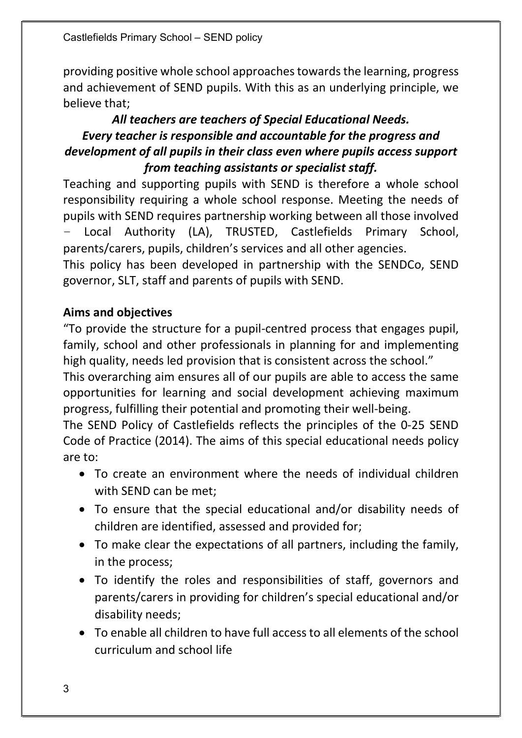Castlefields Primary School – SEND policy

providing positive whole school approaches towards the learning, progress and achievement of SEND pupils. With this as an underlying principle, we believe that;

## All teachers are teachers of Special Educational Needs. Every teacher is responsible and accountable for the progress and development of all pupils in their class even where pupils access support from teaching assistants or specialist staff.

Teaching and supporting pupils with SEND is therefore a whole school responsibility requiring a whole school response. Meeting the needs of pupils with SEND requires partnership working between all those involved – Local Authority (LA), TRUSTED, Castlefields Primary School, parents/carers, pupils, children's services and all other agencies.

This policy has been developed in partnership with the SENDCo, SEND governor, SLT, staff and parents of pupils with SEND.

## Aims and objectives

"To provide the structure for a pupil-centred process that engages pupil, family, school and other professionals in planning for and implementing high quality, needs led provision that is consistent across the school."

This overarching aim ensures all of our pupils are able to access the same opportunities for learning and social development achieving maximum progress, fulfilling their potential and promoting their well-being.

The SEND Policy of Castlefields reflects the principles of the 0-25 SEND Code of Practice (2014). The aims of this special educational needs policy are to:

- To create an environment where the needs of individual children with SEND can be met;
- To ensure that the special educational and/or disability needs of children are identified, assessed and provided for;
- To make clear the expectations of all partners, including the family, in the process;
- To identify the roles and responsibilities of staff, governors and parents/carers in providing for children's special educational and/or disability needs;
- To enable all children to have full access to all elements of the school curriculum and school life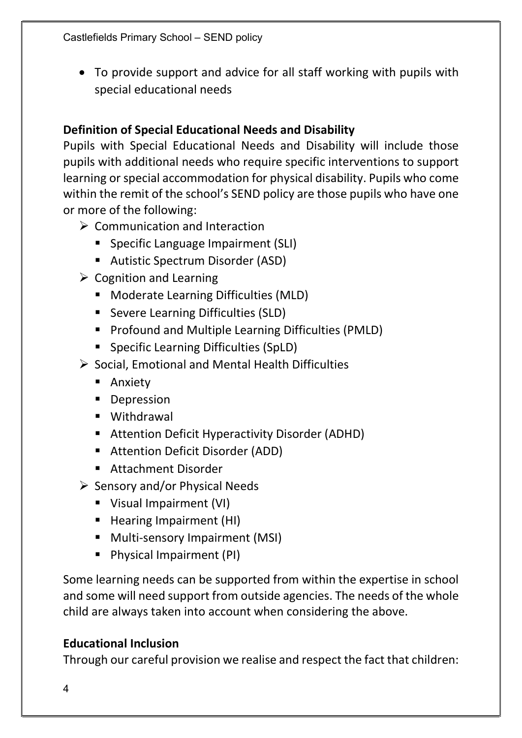To provide support and advice for all staff working with pupils with special educational needs

## Definition of Special Educational Needs and Disability

Pupils with Special Educational Needs and Disability will include those pupils with additional needs who require specific interventions to support learning or special accommodation for physical disability. Pupils who come within the remit of the school's SEND policy are those pupils who have one or more of the following:

- $\triangleright$  Communication and Interaction
	- **Specific Language Impairment (SLI)**
	- **Autistic Spectrum Disorder (ASD)**
- $\triangleright$  Cognition and Learning
	- **Moderate Learning Difficulties (MLD)**
	- Severe Learning Difficulties (SLD)
	- **Profound and Multiple Learning Difficulties (PMLD)**
	- Specific Learning Difficulties (SpLD)
- $\triangleright$  Social, Emotional and Mental Health Difficulties
	- **Anxiety**
	- **Depression**
	- **U** Withdrawal
	- Attention Deficit Hyperactivity Disorder (ADHD)
	- Attention Deficit Disorder (ADD)
	- **Attachment Disorder**
- $\triangleright$  Sensory and/or Physical Needs
	- Visual Impairment (VI)
	- Hearing Impairment (HI)
	- **Multi-sensory Impairment (MSI)**
	- **Physical Impairment (PI)**

Some learning needs can be supported from within the expertise in school and some will need support from outside agencies. The needs of the whole child are always taken into account when considering the above.

## Educational Inclusion

Through our careful provision we realise and respect the fact that children: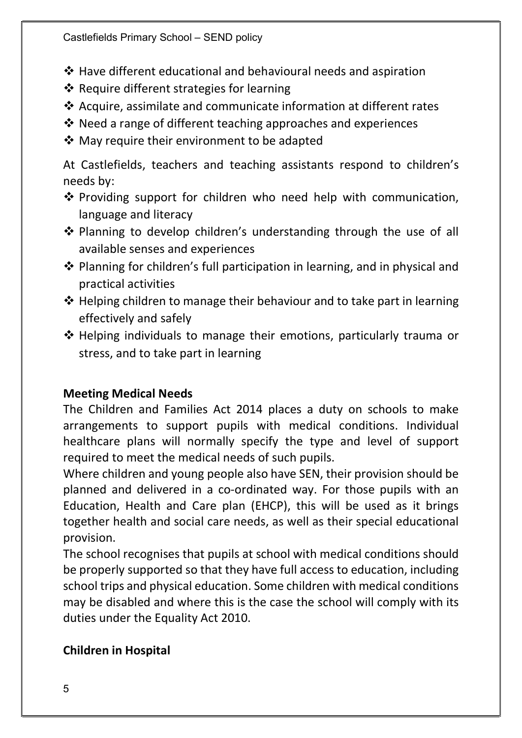- Have different educational and behavioural needs and aspiration
- ❖ Require different strategies for learning
- $\triangleleft$  Acquire, assimilate and communicate information at different rates
- $\cdot$  Need a range of different teaching approaches and experiences
- ❖ May require their environment to be adapted

At Castlefields, teachers and teaching assistants respond to children's needs by:

- ❖ Providing support for children who need help with communication, language and literacy
- ❖ Planning to develop children's understanding through the use of all available senses and experiences
- $\cdot$  Planning for children's full participation in learning, and in physical and practical activities
- $\triangle$  Helping children to manage their behaviour and to take part in learning effectively and safely
- ❖ Helping individuals to manage their emotions, particularly trauma or stress, and to take part in learning

## Meeting Medical Needs

The Children and Families Act 2014 places a duty on schools to make arrangements to support pupils with medical conditions. Individual healthcare plans will normally specify the type and level of support required to meet the medical needs of such pupils.

Where children and young people also have SEN, their provision should be planned and delivered in a co-ordinated way. For those pupils with an Education, Health and Care plan (EHCP), this will be used as it brings together health and social care needs, as well as their special educational provision.

The school recognises that pupils at school with medical conditions should be properly supported so that they have full access to education, including school trips and physical education. Some children with medical conditions may be disabled and where this is the case the school will comply with its duties under the Equality Act 2010.

## Children in Hospital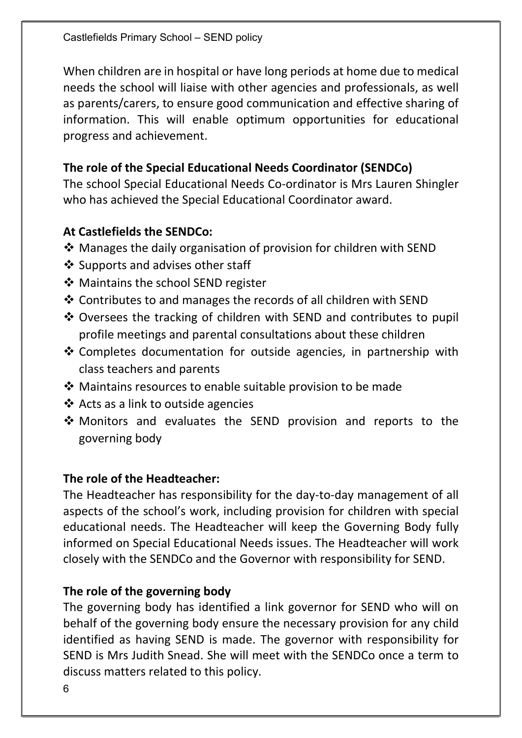When children are in hospital or have long periods at home due to medical needs the school will liaise with other agencies and professionals, as well as parents/carers, to ensure good communication and effective sharing of information. This will enable optimum opportunities for educational progress and achievement.

#### The role of the Special Educational Needs Coordinator (SENDCo)

The school Special Educational Needs Co-ordinator is Mrs Lauren Shingler who has achieved the Special Educational Coordinator award.

#### At Castlefields the SENDCo:

- $\triangle$  Manages the daily organisation of provision for children with SEND
- ❖ Supports and advises other staff
- ❖ Maintains the school SEND register
- ❖ Contributes to and manages the records of all children with SEND
- ❖ Oversees the tracking of children with SEND and contributes to pupil profile meetings and parental consultations about these children
- Completes documentation for outside agencies, in partnership with class teachers and parents
- Maintains resources to enable suitable provision to be made
- $\triangleleft$  Acts as a link to outside agencies
- Monitors and evaluates the SEND provision and reports to the governing body

#### The role of the Headteacher:

The Headteacher has responsibility for the day-to-day management of all aspects of the school's work, including provision for children with special educational needs. The Headteacher will keep the Governing Body fully informed on Special Educational Needs issues. The Headteacher will work closely with the SENDCo and the Governor with responsibility for SEND.

## The role of the governing body

The governing body has identified a link governor for SEND who will on behalf of the governing body ensure the necessary provision for any child identified as having SEND is made. The governor with responsibility for SEND is Mrs Judith Snead. She will meet with the SENDCo once a term to discuss matters related to this policy.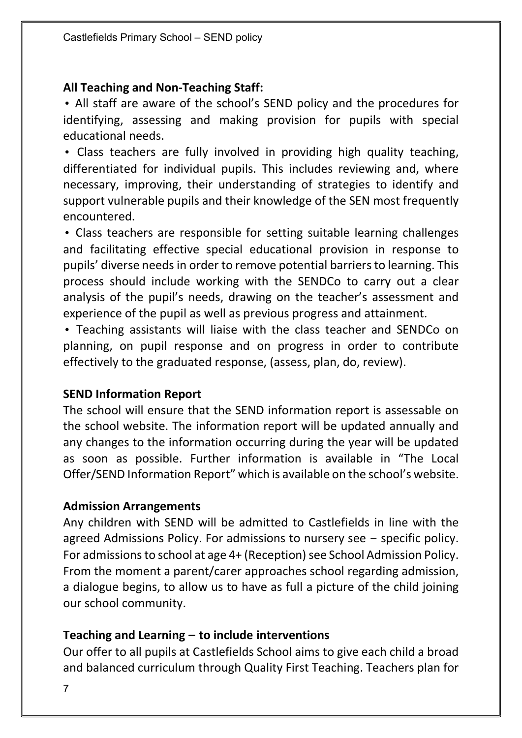#### All Teaching and Non-Teaching Staff:

• All staff are aware of the school's SEND policy and the procedures for identifying, assessing and making provision for pupils with special educational needs.

• Class teachers are fully involved in providing high quality teaching, differentiated for individual pupils. This includes reviewing and, where necessary, improving, their understanding of strategies to identify and support vulnerable pupils and their knowledge of the SEN most frequently encountered.

• Class teachers are responsible for setting suitable learning challenges and facilitating effective special educational provision in response to pupils' diverse needs in order to remove potential barriers to learning. This process should include working with the SENDCo to carry out a clear analysis of the pupil's needs, drawing on the teacher's assessment and experience of the pupil as well as previous progress and attainment.

• Teaching assistants will liaise with the class teacher and SENDCo on planning, on pupil response and on progress in order to contribute effectively to the graduated response, (assess, plan, do, review).

#### SEND Information Report

The school will ensure that the SEND information report is assessable on the school website. The information report will be updated annually and any changes to the information occurring during the year will be updated as soon as possible. Further information is available in "The Local Offer/SEND Information Report" which is available on the school's website.

#### Admission Arrangements

Any children with SEND will be admitted to Castlefields in line with the agreed Admissions Policy. For admissions to nursery see – specific policy. For admissions to school at age 4+ (Reception) see School Admission Policy. From the moment a parent/carer approaches school regarding admission, a dialogue begins, to allow us to have as full a picture of the child joining our school community.

#### Teaching and Learning – to include interventions

Our offer to all pupils at Castlefields School aims to give each child a broad and balanced curriculum through Quality First Teaching. Teachers plan for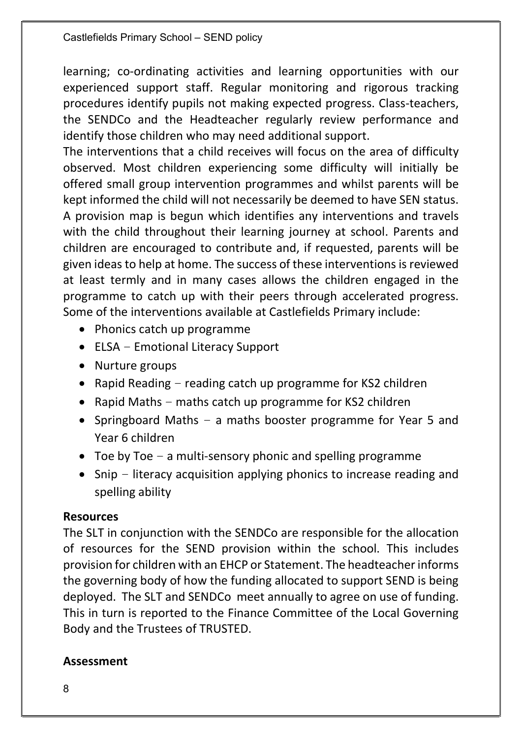learning; co-ordinating activities and learning opportunities with our experienced support staff. Regular monitoring and rigorous tracking procedures identify pupils not making expected progress. Class-teachers, the SENDCo and the Headteacher regularly review performance and identify those children who may need additional support.

The interventions that a child receives will focus on the area of difficulty observed. Most children experiencing some difficulty will initially be offered small group intervention programmes and whilst parents will be kept informed the child will not necessarily be deemed to have SEN status. A provision map is begun which identifies any interventions and travels with the child throughout their learning journey at school. Parents and children are encouraged to contribute and, if requested, parents will be given ideas to help at home. The success of these interventions is reviewed at least termly and in many cases allows the children engaged in the programme to catch up with their peers through accelerated progress. Some of the interventions available at Castlefields Primary include:

- Phonics catch up programme
- ELSA Emotional Literacy Support
- Nurture groups
- Rapid Reading  $-$  reading catch up programme for KS2 children
- Rapid Maths maths catch up programme for KS2 children
- Springboard Maths a maths booster programme for Year 5 and Year 6 children
- Toe by Toe  $-$  a multi-sensory phonic and spelling programme
- Snip literacy acquisition applying phonics to increase reading and spelling ability

## Resources

The SLT in conjunction with the SENDCo are responsible for the allocation of resources for the SEND provision within the school. This includes provision for children with an EHCP or Statement. The headteacher informs the governing body of how the funding allocated to support SEND is being deployed. The SLT and SENDCo meet annually to agree on use of funding. This in turn is reported to the Finance Committee of the Local Governing Body and the Trustees of TRUSTED.

## Assessment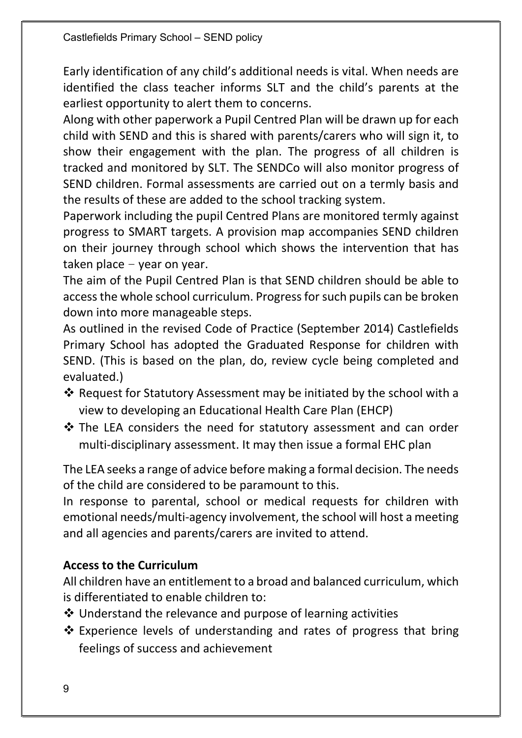Early identification of any child's additional needs is vital. When needs are identified the class teacher informs SLT and the child's parents at the earliest opportunity to alert them to concerns.

Along with other paperwork a Pupil Centred Plan will be drawn up for each child with SEND and this is shared with parents/carers who will sign it, to show their engagement with the plan. The progress of all children is tracked and monitored by SLT. The SENDCo will also monitor progress of SEND children. Formal assessments are carried out on a termly basis and the results of these are added to the school tracking system.

Paperwork including the pupil Centred Plans are monitored termly against progress to SMART targets. A provision map accompanies SEND children on their journey through school which shows the intervention that has taken place  $-$  year on year.

The aim of the Pupil Centred Plan is that SEND children should be able to access the whole school curriculum. Progress for such pupils can be broken down into more manageable steps.

As outlined in the revised Code of Practice (September 2014) Castlefields Primary School has adopted the Graduated Response for children with SEND. (This is based on the plan, do, review cycle being completed and evaluated.)

- ❖ Request for Statutory Assessment may be initiated by the school with a view to developing an Educational Health Care Plan (EHCP)
- ❖ The LEA considers the need for statutory assessment and can order multi-disciplinary assessment. It may then issue a formal EHC plan

The LEA seeks a range of advice before making a formal decision. The needs of the child are considered to be paramount to this.

In response to parental, school or medical requests for children with emotional needs/multi-agency involvement, the school will host a meeting and all agencies and parents/carers are invited to attend.

## Access to the Curriculum

All children have an entitlement to a broad and balanced curriculum, which is differentiated to enable children to:

- $\cdot$  Understand the relevance and purpose of learning activities
- $\cdot$  Experience levels of understanding and rates of progress that bring feelings of success and achievement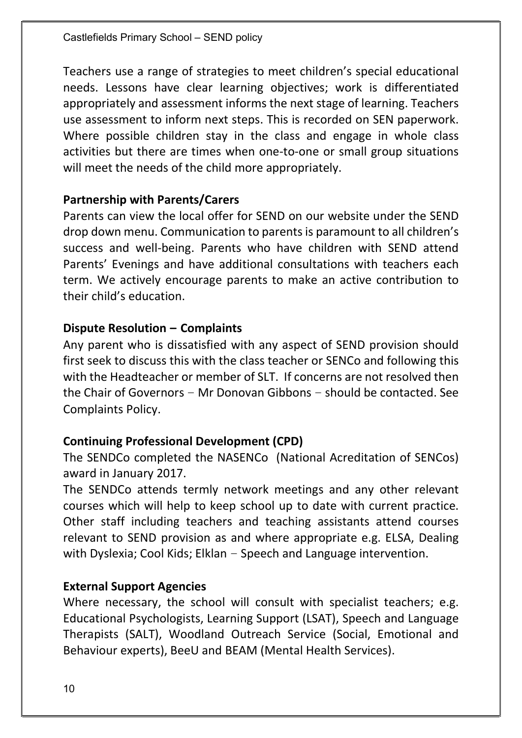Teachers use a range of strategies to meet children's special educational needs. Lessons have clear learning objectives; work is differentiated appropriately and assessment informs the next stage of learning. Teachers use assessment to inform next steps. This is recorded on SEN paperwork. Where possible children stay in the class and engage in whole class activities but there are times when one-to-one or small group situations will meet the needs of the child more appropriately.

#### Partnership with Parents/Carers

Parents can view the local offer for SEND on our website under the SEND drop down menu. Communication to parents is paramount to all children's success and well-being. Parents who have children with SEND attend Parents' Evenings and have additional consultations with teachers each term. We actively encourage parents to make an active contribution to their child's education.

## Dispute Resolution – Complaints

Any parent who is dissatisfied with any aspect of SEND provision should first seek to discuss this with the class teacher or SENCo and following this with the Headteacher or member of SLT. If concerns are not resolved then the Chair of Governors – Mr Donovan Gibbons – should be contacted. See Complaints Policy.

## Continuing Professional Development (CPD)

The SENDCo completed the NASENCo (National Acreditation of SENCos) award in January 2017.

The SENDCo attends termly network meetings and any other relevant courses which will help to keep school up to date with current practice. Other staff including teachers and teaching assistants attend courses relevant to SEND provision as and where appropriate e.g. ELSA, Dealing with Dyslexia; Cool Kids; Elklan – Speech and Language intervention.

## External Support Agencies

Where necessary, the school will consult with specialist teachers; e.g. Educational Psychologists, Learning Support (LSAT), Speech and Language Therapists (SALT), Woodland Outreach Service (Social, Emotional and Behaviour experts), BeeU and BEAM (Mental Health Services).